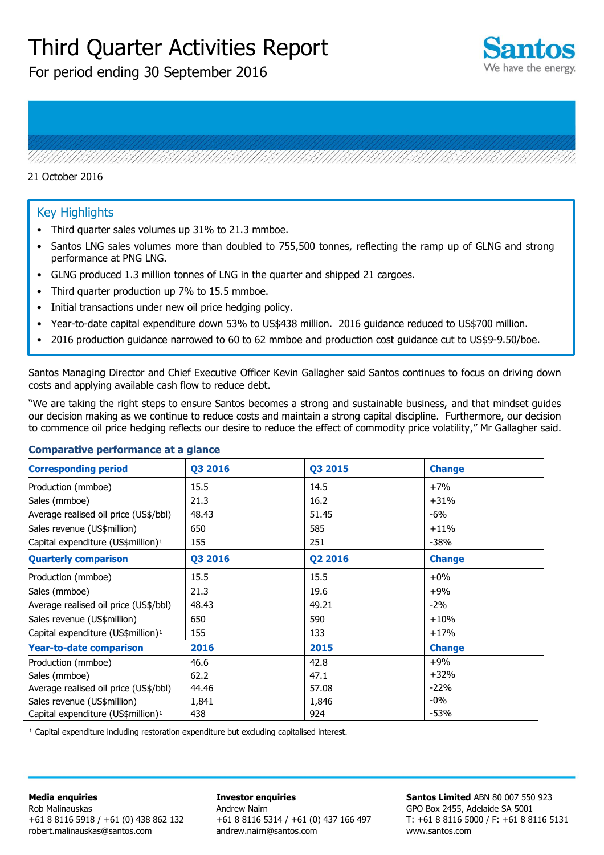# Third Quarter Activities Report

For period ending 30 September 2016



#### 21 October 2016

#### Key Highlights

- Third quarter sales volumes up 31% to 21.3 mmboe.
- Santos LNG sales volumes more than doubled to 755,500 tonnes, reflecting the ramp up of GLNG and strong performance at PNG LNG.

- GLNG produced 1.3 million tonnes of LNG in the quarter and shipped 21 cargoes.
- Third quarter production up 7% to 15.5 mmboe.
- Initial transactions under new oil price hedging policy.
- Year-to-date capital expenditure down 53% to US\$438 million. 2016 guidance reduced to US\$700 million.
- 2016 production guidance narrowed to 60 to 62 mmboe and production cost guidance cut to US\$9-9.50/boe.

Santos Managing Director and Chief Executive Officer Kevin Gallagher said Santos continues to focus on driving down costs and applying available cash flow to reduce debt.

"We are taking the right steps to ensure Santos becomes a strong and sustainable business, and that mindset guides our decision making as we continue to reduce costs and maintain a strong capital discipline. Furthermore, our decision to commence oil price hedging reflects our desire to reduce the effect of commodity price volatility," Mr Gallagher said.

#### **Comparative performance at a glance**

| <b>Corresponding period</b>                    | Q3 2016 | Q3 2015 | <b>Change</b> |
|------------------------------------------------|---------|---------|---------------|
| Production (mmboe)                             | 15.5    | 14.5    | $+7%$         |
| Sales (mmboe)                                  | 21.3    | 16.2    | $+31%$        |
| Average realised oil price (US\$/bbl)          | 48.43   | 51.45   | $-6\%$        |
| Sales revenue (US\$million)                    | 650     | 585     | $+11%$        |
| Capital expenditure (US\$million) <sup>1</sup> | 155     | 251     | $-38%$        |
| <b>Quarterly comparison</b>                    | Q3 2016 | Q2 2016 | <b>Change</b> |
| Production (mmboe)                             | 15.5    | 15.5    | $+0\%$        |
| Sales (mmboe)                                  | 21.3    | 19.6    | $+9%$         |
| Average realised oil price (US\$/bbl)          | 48.43   | 49.21   | $-2\%$        |
| Sales revenue (US\$million)                    | 650     | 590     | $+10%$        |
| Capital expenditure (US\$million) <sup>1</sup> | 155     | 133     | $+17%$        |
| <b>Year-to-date comparison</b>                 | 2016    | 2015    | <b>Change</b> |
| Production (mmboe)                             | 46.6    | 42.8    | $+9%$         |
| Sales (mmboe)                                  | 62.2    | 47.1    | $+32%$        |
| Average realised oil price (US\$/bbl)          | 44.46   | 57.08   | $-22%$        |
| Sales revenue (US\$million)                    | 1,841   | 1,846   | $-0\%$        |
| Capital expenditure (US\$million) <sup>1</sup> | 438     | 924     | $-53%$        |

<sup>1</sup> Capital expenditure including restoration expenditure but excluding capitalised interest.

#### **Media enquiries**  Rob Malinauskas +61 8 8116 5918 / +61 (0) 438 862 132 robert.malinauskas@santos.com

**Investor enquiries**  Andrew Nairn +61 8 8116 5314 / +61 (0) 437 166 497 andrew.nairn@santos.com

**Santos Limited** ABN 80 007 550 923 GPO Box 2455, Adelaide SA 5001 T: +61 8 8116 5000 / F: +61 8 8116 5131 www.santos.com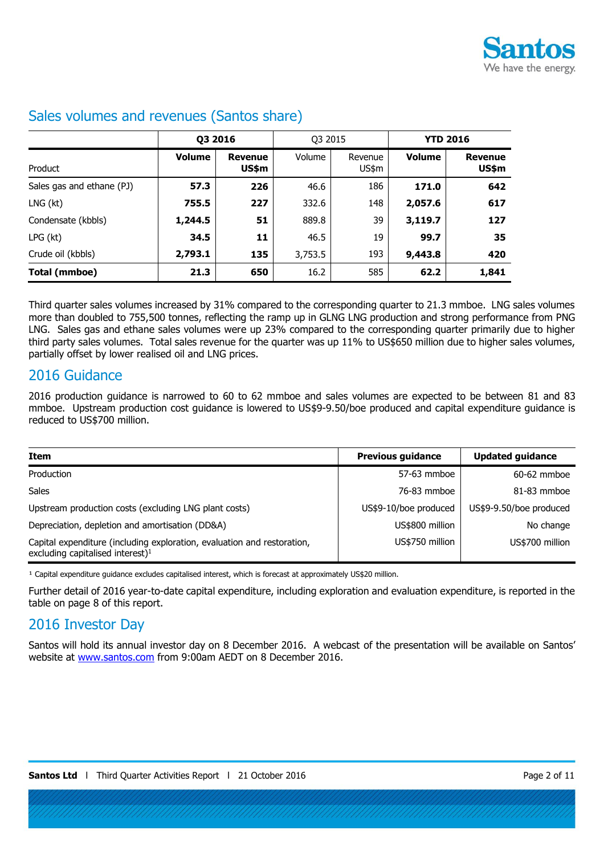

|                           | Q3 2016       |                         | Q3 2015 |                  | <b>YTD 2016</b> |                         |
|---------------------------|---------------|-------------------------|---------|------------------|-----------------|-------------------------|
| Product                   | <b>Volume</b> | <b>Revenue</b><br>US\$m | Volume  | Revenue<br>US\$m | <b>Volume</b>   | <b>Revenue</b><br>US\$m |
| Sales gas and ethane (PJ) | 57.3          | 226                     | 46.6    | 186              | 171.0           | 642                     |
| LNG (kt)                  | 755.5         | 227                     | 332.6   | 148              | 2,057.6         | 617                     |
| Condensate (kbbls)        | 1,244.5       | 51                      | 889.8   | 39               | 3,119.7         | 127                     |
| LPG (kt)                  | 34.5          | 11                      | 46.5    | 19               | 99.7            | 35                      |
| Crude oil (kbbls)         | 2,793.1       | 135                     | 3,753.5 | 193              | 9,443.8         | 420                     |
| Total (mmboe)             | 21.3          | 650                     | 16.2    | 585              | 62.2            | 1,841                   |

### Sales volumes and revenues (Santos share)

Third quarter sales volumes increased by 31% compared to the corresponding quarter to 21.3 mmboe. LNG sales volumes more than doubled to 755,500 tonnes, reflecting the ramp up in GLNG LNG production and strong performance from PNG LNG. Sales gas and ethane sales volumes were up 23% compared to the corresponding quarter primarily due to higher third party sales volumes. Total sales revenue for the quarter was up 11% to US\$650 million due to higher sales volumes, partially offset by lower realised oil and LNG prices.

### 2016 Guidance

2016 production guidance is narrowed to 60 to 62 mmboe and sales volumes are expected to be between 81 and 83 mmboe. Upstream production cost guidance is lowered to US\$9-9.50/boe produced and capital expenditure guidance is reduced to US\$700 million.

| Item                                                                                                                    | <b>Previous guidance</b> | <b>Updated guidance</b> |
|-------------------------------------------------------------------------------------------------------------------------|--------------------------|-------------------------|
| Production                                                                                                              | 57-63 mmboe              | 60-62 mmboe             |
| <b>Sales</b>                                                                                                            | 76-83 mmboe              | $81-83$ mmboe           |
| Upstream production costs (excluding LNG plant costs)                                                                   | US\$9-10/boe produced    | US\$9-9.50/boe produced |
| Depreciation, depletion and amortisation (DD&A)                                                                         | US\$800 million          | No change               |
| Capital expenditure (including exploration, evaluation and restoration,<br>excluding capitalised interest) <sup>1</sup> | US\$750 million          | US\$700 million         |

<sup>1</sup> Capital expenditure guidance excludes capitalised interest, which is forecast at approximately US\$20 million.

Further detail of 2016 year-to-date capital expenditure, including exploration and evaluation expenditure, is reported in the table on page 8 of this report.

### 2016 Investor Day

Santos will hold its annual investor day on 8 December 2016. A webcast of the presentation will be available on Santos' website at [www.santos.com](http://www.santos.com/) from 9:00am AEDT on 8 December 2016.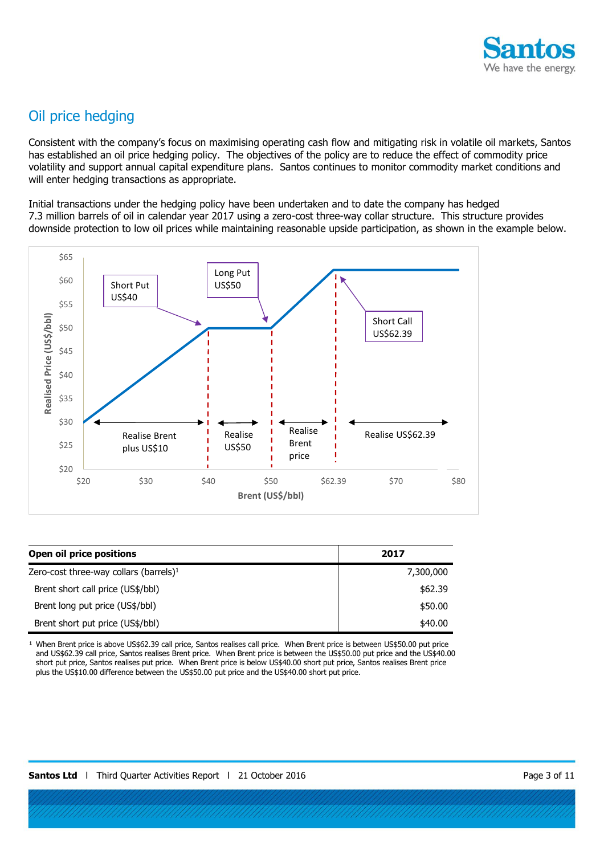

# Oil price hedging

Consistent with the company's focus on maximising operating cash flow and mitigating risk in volatile oil markets, Santos has established an oil price hedging policy. The objectives of the policy are to reduce the effect of commodity price volatility and support annual capital expenditure plans. Santos continues to monitor commodity market conditions and will enter hedging transactions as appropriate.

Initial transactions under the hedging policy have been undertaken and to date the company has hedged 7.3 million barrels of oil in calendar year 2017 using a zero-cost three-way collar structure. This structure provides downside protection to low oil prices while maintaining reasonable upside participation, as shown in the example below.



| Open oil price positions                  | 2017      |
|-------------------------------------------|-----------|
| Zero-cost three-way collars (barrels) $1$ | 7,300,000 |
| Brent short call price (US\$/bbl)         | \$62.39   |
| Brent long put price (US\$/bbl)           | \$50.00   |
| Brent short put price (US\$/bbl)          | \$40.00   |

When Brent price is above US\$62.39 call price, Santos realises call price. When Brent price is between US\$50.00 put price and US\$62.39 call price, Santos realises Brent price. When Brent price is between the US\$50.00 put price and the US\$40.00 short put price, Santos realises put price. When Brent price is below US\$40.00 short put price, Santos realises Brent price plus the US\$10.00 difference between the US\$50.00 put price and the US\$40.00 short put price.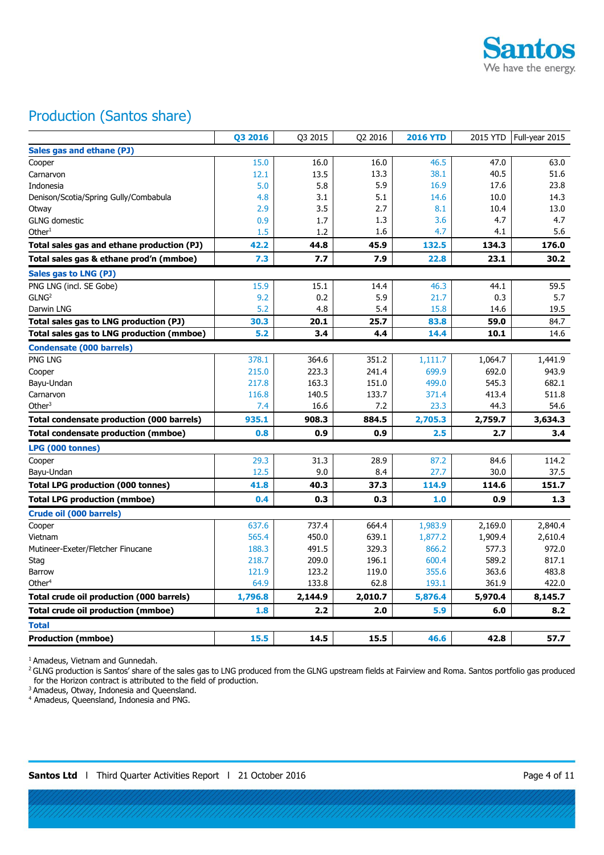

# Production (Santos share)

|                                                  | Q3 2016 | Q3 2015 | Q2 2016 | <b>2016 YTD</b> | 2015 YTD | Full-year 2015 |
|--------------------------------------------------|---------|---------|---------|-----------------|----------|----------------|
| Sales gas and ethane (PJ)                        |         |         |         |                 |          |                |
| Cooper                                           | 15.0    | 16.0    | 16.0    | 46.5            | 47.0     | 63.0           |
| Carnarvon                                        | 12.1    | 13.5    | 13.3    | 38.1            | 40.5     | 51.6           |
| Indonesia                                        | 5.0     | 5.8     | 5.9     | 16.9            | 17.6     | 23.8           |
| Denison/Scotia/Spring Gully/Combabula            | 4.8     | 3.1     | 5.1     | 14.6            | 10.0     | 14.3           |
| Otway                                            | 2.9     | 3.5     | 2.7     | 8.1             | 10.4     | 13.0           |
| <b>GLNG</b> domestic                             | 0.9     | 1.7     | 1.3     | 3.6             | 4.7      | 4.7            |
| Other <sup>1</sup>                               | 1.5     | 1.2     | 1.6     | 4.7             | 4.1      | 5.6            |
| Total sales gas and ethane production (PJ)       | 42.2    | 44.8    | 45.9    | 132.5           | 134.3    | 176.0          |
| Total sales gas & ethane prod'n (mmboe)          | 7.3     | 7.7     | 7.9     | 22.8            | 23.1     | 30.2           |
| Sales gas to LNG (PJ)                            |         |         |         |                 |          |                |
| PNG LNG (incl. SE Gobe)                          | 15.9    | 15.1    | 14.4    | 46.3            | 44.1     | 59.5           |
| GLNG <sup>2</sup>                                | 9.2     | 0.2     | 5.9     | 21.7            | 0.3      | 5.7            |
| Darwin LNG                                       | 5.2     | 4.8     | 5.4     | 15.8            | 14.6     | 19.5           |
| Total sales gas to LNG production (PJ)           | 30.3    | 20.1    | 25.7    | 83.8            | 59.0     | 84.7           |
| Total sales gas to LNG production (mmboe)        | 5.2     | 3.4     | 4.4     | 14.4            | 10.1     | 14.6           |
| <b>Condensate (000 barrels)</b>                  |         |         |         |                 |          |                |
| PNG LNG                                          | 378.1   | 364.6   | 351.2   | 1,111.7         | 1,064.7  | 1.441.9        |
| Cooper                                           | 215.0   | 223.3   | 241.4   | 699.9           | 692.0    | 943.9          |
| Bayu-Undan                                       | 217.8   | 163.3   | 151.0   | 499.0           | 545.3    | 682.1          |
| Carnarvon                                        | 116.8   | 140.5   | 133.7   | 371.4           | 413.4    | 511.8          |
| Other $3$                                        | 7.4     | 16.6    | 7.2     | 23.3            | 44.3     | 54.6           |
| <b>Total condensate production (000 barrels)</b> | 935.1   | 908.3   | 884.5   | 2,705.3         | 2,759.7  | 3,634.3        |
| <b>Total condensate production (mmboe)</b>       | 0.8     | 0.9     | 0.9     | 2.5             | 2.7      | 3.4            |
| LPG (000 tonnes)                                 |         |         |         |                 |          |                |
| Cooper                                           | 29.3    | 31.3    | 28.9    | 87.2            | 84.6     | 114.2          |
| Bayu-Undan                                       | 12.5    | 9.0     | 8.4     | 27.7            | 30.0     | 37.5           |
| <b>Total LPG production (000 tonnes)</b>         | 41.8    | 40.3    | 37.3    | 114.9           | 114.6    | 151.7          |
| <b>Total LPG production (mmboe)</b>              | 0.4     | 0.3     | 0.3     | 1.0             | 0.9      | 1.3            |
| <b>Crude oil (000 barrels)</b>                   |         |         |         |                 |          |                |
| Cooper                                           | 637.6   | 737.4   | 664.4   | 1,983.9         | 2,169.0  | 2,840.4        |
| Vietnam                                          | 565.4   | 450.0   | 639.1   | 1,877.2         | 1,909.4  | 2,610.4        |
| Mutineer-Exeter/Fletcher Finucane                | 188.3   | 491.5   | 329.3   | 866.2           | 577.3    | 972.0          |
| Stag                                             | 218.7   | 209.0   | 196.1   | 600.4           | 589.2    | 817.1          |
| Barrow                                           | 121.9   | 123.2   | 119.0   | 355.6           | 363.6    | 483.8          |
| Other $4$                                        | 64.9    | 133.8   | 62.8    | 193.1           | 361.9    | 422.0          |
| <b>Total crude oil production (000 barrels)</b>  | 1,796.8 | 2,144.9 | 2,010.7 | 5,876.4         | 5,970.4  | 8,145.7        |
| Total crude oil production (mmboe)               | 1.8     | 2.2     | 2.0     | 5.9             | 6.0      | 8.2            |
| Total                                            |         |         |         |                 |          |                |
| <b>Production (mmboe)</b>                        | 15.5    | 14.5    | 15.5    | 46.6            | 42.8     | 57.7           |

<sup>1</sup> Amadeus, Vietnam and Gunnedah.

<sup>2</sup> GLNG production is Santos' share of the sales gas to LNG produced from the GLNG upstream fields at Fairview and Roma. Santos portfolio gas produced for the Horizon contract is attributed to the field of production.

<sup>3</sup> Amadeus, Otway, Indonesia and Queensland.

4 Amadeus, Queensland, Indonesia and PNG.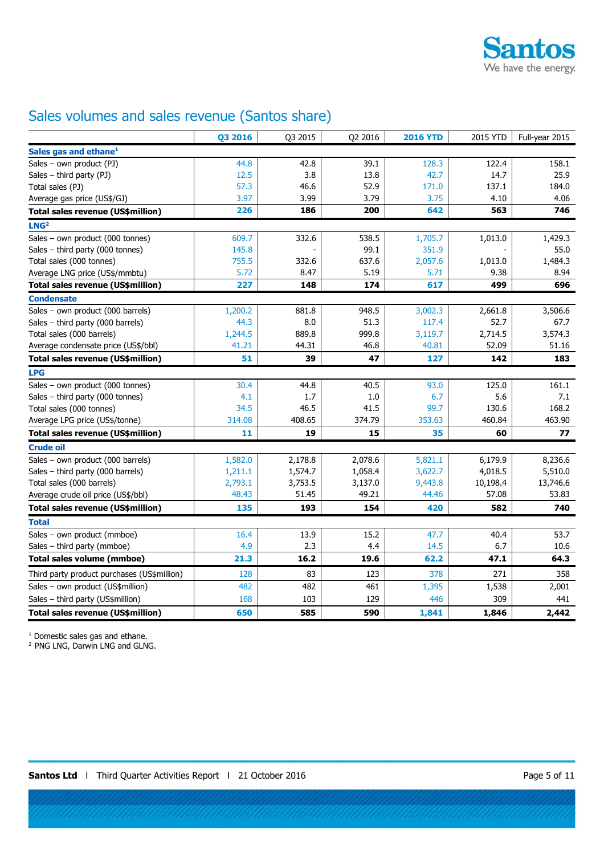

# Sales volumes and sales revenue (Santos share)

|                                             | Q3 2016 | Q3 2015 | Q2 2016 | <b>2016 YTD</b> | 2015 YTD | Full-year 2015 |
|---------------------------------------------|---------|---------|---------|-----------------|----------|----------------|
| Sales gas and ethane <sup>1</sup>           |         |         |         |                 |          |                |
| Sales - own product (PJ)                    | 44.8    | 42.8    | 39.1    | 128.3           | 122.4    | 158.1          |
| Sales $-$ third party (PJ)                  | 12.5    | 3.8     | 13.8    | 42.7            | 14.7     | 25.9           |
| Total sales (PJ)                            | 57.3    | 46.6    | 52.9    | 171.0           | 137.1    | 184.0          |
| Average gas price (US\$/GJ)                 | 3.97    | 3.99    | 3.79    | 3.75            | 4.10     | 4.06           |
| <b>Total sales revenue (US\$million)</b>    | 226     | 186     | 200     | 642             | 563      | 746            |
| LNG <sup>2</sup>                            |         |         |         |                 |          |                |
| Sales - own product (000 tonnes)            | 609.7   | 332.6   | 538.5   | 1,705.7         | 1,013.0  | 1,429.3        |
| Sales - third party (000 tonnes)            | 145.8   |         | 99.1    | 351.9           |          | 55.0           |
| Total sales (000 tonnes)                    | 755.5   | 332.6   | 637.6   | 2,057.6         | 1,013.0  | 1,484.3        |
| Average LNG price (US\$/mmbtu)              | 5.72    | 8.47    | 5.19    | 5.71            | 9.38     | 8.94           |
| Total sales revenue (US\$million)           | 227     | 148     | 174     | 617             | 499      | 696            |
| <b>Condensate</b>                           |         |         |         |                 |          |                |
| Sales - own product (000 barrels)           | 1,200.2 | 881.8   | 948.5   | 3,002.3         | 2,661.8  | 3,506.6        |
| Sales - third party (000 barrels)           | 44.3    | 8.0     | 51.3    | 117.4           | 52.7     | 67.7           |
| Total sales (000 barrels)                   | 1,244.5 | 889.8   | 999.8   | 3,119.7         | 2,714.5  | 3,574.3        |
| Average condensate price (US\$/bbl)         | 41.21   | 44.31   | 46.8    | 40.81           | 52.09    | 51.16          |
| Total sales revenue (US\$million)           | 51      | 39      | 47      | 127             | 142      | 183            |
| <b>LPG</b>                                  |         |         |         |                 |          |                |
| Sales - own product (000 tonnes)            | 30.4    | 44.8    | 40.5    | 93.0            | 125.0    | 161.1          |
| Sales - third party (000 tonnes)            | 4.1     | 1.7     | 1.0     | 6.7             | 5.6      | 7.1            |
| Total sales (000 tonnes)                    | 34.5    | 46.5    | 41.5    | 99.7            | 130.6    | 168.2          |
| Average LPG price (US\$/tonne)              | 314.08  | 408.65  | 374.79  | 353.63          | 460.84   | 463.90         |
| Total sales revenue (US\$million)           | 11      | 19      | 15      | 35              | 60       | 77             |
| <b>Crude oil</b>                            |         |         |         |                 |          |                |
| Sales - own product (000 barrels)           | 1,582.0 | 2,178.8 | 2,078.6 | 5,821.1         | 6,179.9  | 8,236.6        |
| Sales - third party (000 barrels)           | 1,211.1 | 1,574.7 | 1,058.4 | 3,622.7         | 4,018.5  | 5,510.0        |
| Total sales (000 barrels)                   | 2,793.1 | 3,753.5 | 3,137.0 | 9,443.8         | 10,198.4 | 13,746.6       |
| Average crude oil price (US\$/bbl)          | 48.43   | 51.45   | 49.21   | 44.46           | 57.08    | 53.83          |
| Total sales revenue (US\$million)           | 135     | 193     | 154     | 420             | 582      | 740            |
| <b>Total</b>                                |         |         |         |                 |          |                |
| Sales - own product (mmboe)                 | 16.4    | 13.9    | 15.2    | 47.7            | 40.4     | 53.7           |
| Sales - third party (mmboe)                 | 4.9     | 2.3     | 4.4     | 14.5            | 6.7      | 10.6           |
| Total sales volume (mmboe)                  | 21.3    | 16.2    | 19.6    | 62.2            | 47.1     | 64.3           |
| Third party product purchases (US\$million) | 128     | 83      | 123     | 378             | 271      | 358            |
| Sales - own product (US\$million)           | 482     | 482     | 461     | 1,395           | 1,538    | 2,001          |
| Sales - third party (US\$million)           | 168     | 103     | 129     | 446             | 309      | 441            |
| Total sales revenue (US\$million)           | 650     | 585     | 590     | 1,841           | 1,846    | 2,442          |

1 Domestic sales gas and ethane.

<sup>2</sup> PNG LNG, Darwin LNG and GLNG.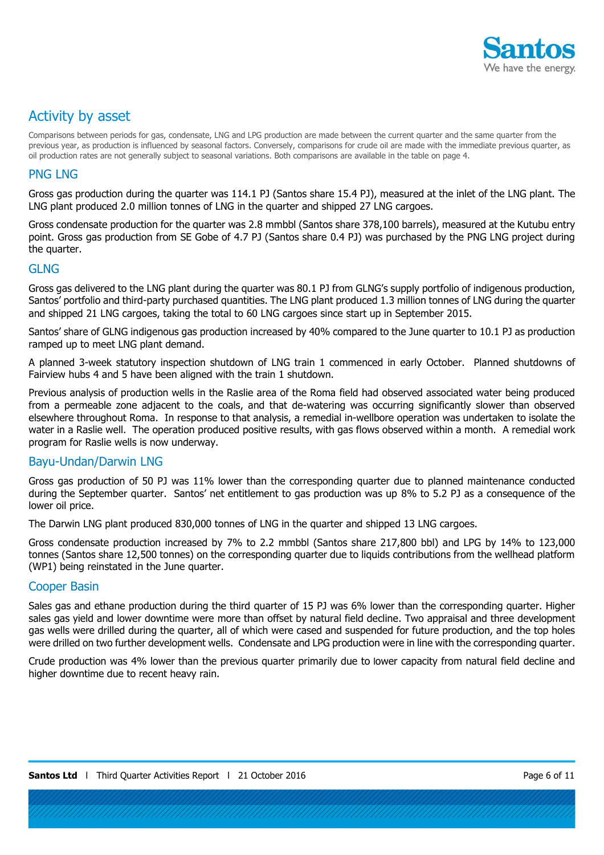

# Activity by asset

Comparisons between periods for gas, condensate, LNG and LPG production are made between the current quarter and the same quarter from the previous year, as production is influenced by seasonal factors. Conversely, comparisons for crude oil are made with the immediate previous quarter, as oil production rates are not generally subject to seasonal variations. Both comparisons are available in the table on page 4.

#### PNG LNG

Gross gas production during the quarter was 114.1 PJ (Santos share 15.4 PJ), measured at the inlet of the LNG plant. The LNG plant produced 2.0 million tonnes of LNG in the quarter and shipped 27 LNG cargoes.

Gross condensate production for the quarter was 2.8 mmbbl (Santos share 378,100 barrels), measured at the Kutubu entry point. Gross gas production from SE Gobe of 4.7 PJ (Santos share 0.4 PJ) was purchased by the PNG LNG project during the quarter.

#### GLNG

Gross gas delivered to the LNG plant during the quarter was 80.1 PJ from GLNG's supply portfolio of indigenous production, Santos' portfolio and third-party purchased quantities. The LNG plant produced 1.3 million tonnes of LNG during the quarter and shipped 21 LNG cargoes, taking the total to 60 LNG cargoes since start up in September 2015.

Santos' share of GLNG indigenous gas production increased by 40% compared to the June quarter to 10.1 PJ as production ramped up to meet LNG plant demand.

A planned 3-week statutory inspection shutdown of LNG train 1 commenced in early October. Planned shutdowns of Fairview hubs 4 and 5 have been aligned with the train 1 shutdown.

Previous analysis of production wells in the Raslie area of the Roma field had observed associated water being produced from a permeable zone adjacent to the coals, and that de-watering was occurring significantly slower than observed elsewhere throughout Roma. In response to that analysis, a remedial in-wellbore operation was undertaken to isolate the water in a Raslie well. The operation produced positive results, with gas flows observed within a month. A remedial work program for Raslie wells is now underway.

### Bayu-Undan/Darwin LNG

Gross gas production of 50 PJ was 11% lower than the corresponding quarter due to planned maintenance conducted during the September quarter. Santos' net entitlement to gas production was up 8% to 5.2 PJ as a consequence of the lower oil price.

The Darwin LNG plant produced 830,000 tonnes of LNG in the quarter and shipped 13 LNG cargoes.

Gross condensate production increased by 7% to 2.2 mmbbl (Santos share 217,800 bbl) and LPG by 14% to 123,000 tonnes (Santos share 12,500 tonnes) on the corresponding quarter due to liquids contributions from the wellhead platform (WP1) being reinstated in the June quarter.

### Cooper Basin

Sales gas and ethane production during the third quarter of 15 PJ was 6% lower than the corresponding quarter. Higher sales gas yield and lower downtime were more than offset by natural field decline. Two appraisal and three development gas wells were drilled during the quarter, all of which were cased and suspended for future production, and the top holes were drilled on two further development wells. Condensate and LPG production were in line with the corresponding quarter.

Crude production was 4% lower than the previous quarter primarily due to lower capacity from natural field decline and higher downtime due to recent heavy rain.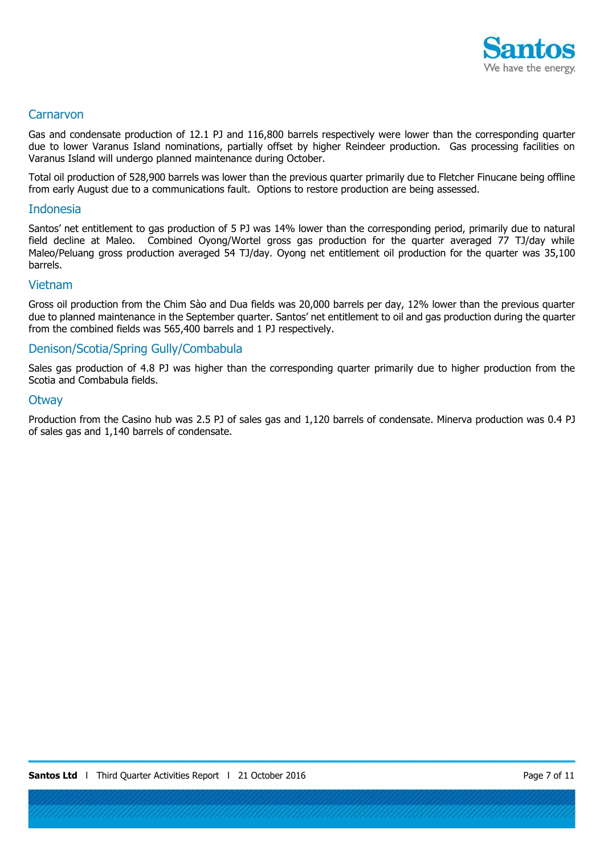

#### **Carnarvon**

Gas and condensate production of 12.1 PJ and 116,800 barrels respectively were lower than the corresponding quarter due to lower Varanus Island nominations, partially offset by higher Reindeer production. Gas processing facilities on Varanus Island will undergo planned maintenance during October.

Total oil production of 528,900 barrels was lower than the previous quarter primarily due to Fletcher Finucane being offline from early August due to a communications fault. Options to restore production are being assessed.

#### Indonesia

Santos' net entitlement to gas production of 5 PJ was 14% lower than the corresponding period, primarily due to natural field decline at Maleo. Combined Oyong/Wortel gross gas production for the quarter averaged 77 TJ/day while Maleo/Peluang gross production averaged 54 TJ/day. Oyong net entitlement oil production for the quarter was 35,100 barrels.

#### Vietnam

Gross oil production from the Chim Sào and Dua fields was 20,000 barrels per day, 12% lower than the previous quarter due to planned maintenance in the September quarter. Santos' net entitlement to oil and gas production during the quarter from the combined fields was 565,400 barrels and 1 PJ respectively.

#### Denison/Scotia/Spring Gully/Combabula

Sales gas production of 4.8 PJ was higher than the corresponding quarter primarily due to higher production from the Scotia and Combabula fields.

#### **Otway**

Production from the Casino hub was 2.5 PJ of sales gas and 1,120 barrels of condensate. Minerva production was 0.4 PJ of sales gas and 1,140 barrels of condensate.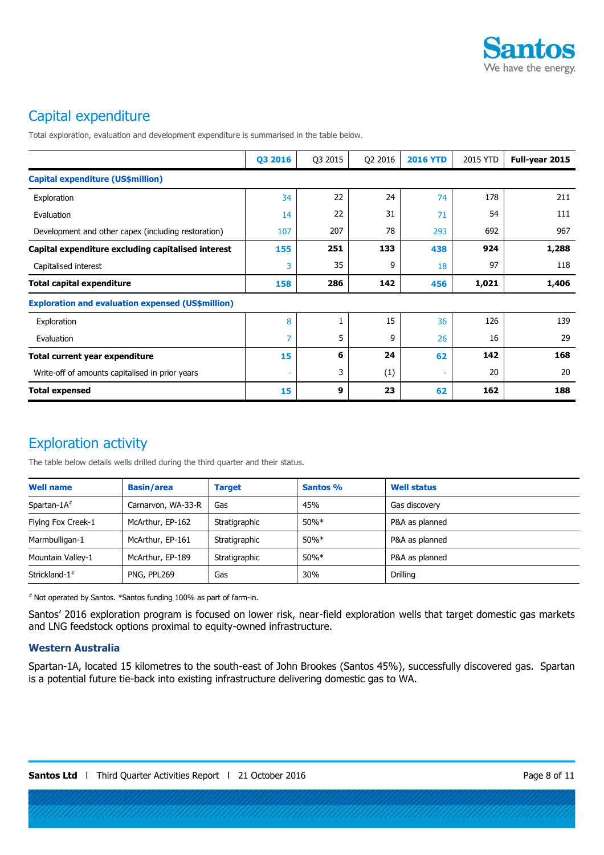

# Capital expenditure

Total exploration, evaluation and development expenditure is summarised in the table below.

|                                                          | Q3 2016 | Q3 2015 | Q2 2016 | <b>2016 YTD</b> | 2015 YTD | Full-year 2015 |
|----------------------------------------------------------|---------|---------|---------|-----------------|----------|----------------|
| Capital expenditure (US\$million)                        |         |         |         |                 |          |                |
| Exploration                                              | 34      | 22      | 24      | 74              | 178      | 211            |
| Evaluation                                               | 14      | 22      | 31      | 71              | 54       | 111            |
| Development and other capex (including restoration)      | 107     | 207     | 78      | 293             | 692      | 967            |
| Capital expenditure excluding capitalised interest       | 155     | 251     | 133     | 438             | 924      | 1,288          |
| Capitalised interest                                     | 3       | 35      | 9       | 18              | 97       | 118            |
| <b>Total capital expenditure</b>                         | 158     | 286     | 142     | 456             | 1,021    | 1,406          |
| <b>Exploration and evaluation expensed (US\$million)</b> |         |         |         |                 |          |                |
| Exploration                                              | 8       | 1       | 15      | 36              | 126      | 139            |
| Evaluation                                               | 7       | 5       | 9       | 26              | 16       | 29             |
| Total current year expenditure                           | 15      | 6       | 24      | 62              | 142      | 168            |
| Write-off of amounts capitalised in prior years          |         | 3       | (1)     |                 | 20       | 20             |
| <b>Total expensed</b>                                    | 15      | 9       | 23      | 62              | 162      | 188            |

# Exploration activity

The table below details wells drilled during the third quarter and their status.

| <b>Well name</b>          | <b>Basin/area</b>  | <b>Target</b> | <b>Santos %</b> | <b>Well status</b> |
|---------------------------|--------------------|---------------|-----------------|--------------------|
| Spartan-1A <sup>#</sup>   | Carnarvon, WA-33-R | Gas           | 45%             | Gas discovery      |
| Flying Fox Creek-1        | McArthur, EP-162   | Stratigraphic | $50\%*$         | P&A as planned     |
| Marmbulligan-1            | McArthur, EP-161   | Stratigraphic | 50%*            | P&A as planned     |
| Mountain Valley-1         | McArthur, EP-189   | Stratigraphic | $50\%*$         | P&A as planned     |
| Strickland-1 <sup>#</sup> | PNG, PPL269        | Gas           | 30%             | Drilling           |

# Not operated by Santos. \*Santos funding 100% as part of farm-in.

Santos' 2016 exploration program is focused on lower risk, near-field exploration wells that target domestic gas markets and LNG feedstock options proximal to equity-owned infrastructure.

#### **Western Australia**

Spartan-1A, located 15 kilometres to the south-east of John Brookes (Santos 45%), successfully discovered gas. Spartan is a potential future tie-back into existing infrastructure delivering domestic gas to WA.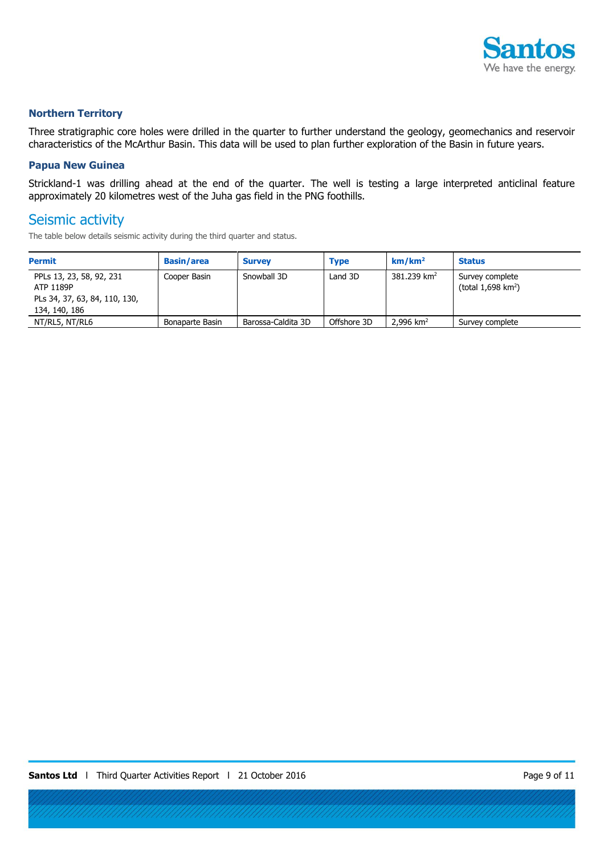

#### **Northern Territory**

Three stratigraphic core holes were drilled in the quarter to further understand the geology, geomechanics and reservoir characteristics of the McArthur Basin. This data will be used to plan further exploration of the Basin in future years.

#### **Papua New Guinea**

Strickland-1 was drilling ahead at the end of the quarter. The well is testing a large interpreted anticlinal feature approximately 20 kilometres west of the Juha gas field in the PNG foothills.

## Seismic activity

The table below details seismic activity during the third quarter and status.

| <b>Permit</b>                                                                           | <b>Basin/area</b> | <b>Survey</b>      | <b>Type</b> | km/km <sup>2</sup>      | <b>Status</b>                                       |
|-----------------------------------------------------------------------------------------|-------------------|--------------------|-------------|-------------------------|-----------------------------------------------------|
| PPLs 13, 23, 58, 92, 231<br>ATP 1189P<br>PLs 34, 37, 63, 84, 110, 130,<br>134, 140, 186 | Cooper Basin      | Snowball 3D        | Land 3D     | 381.239 km <sup>2</sup> | Survey complete<br>(total $1,698$ km <sup>2</sup> ) |
| NT/RL5, NT/RL6                                                                          | Bonaparte Basin   | Barossa-Caldita 3D | Offshore 3D | 2.996 $km^2$            | Survey complete                                     |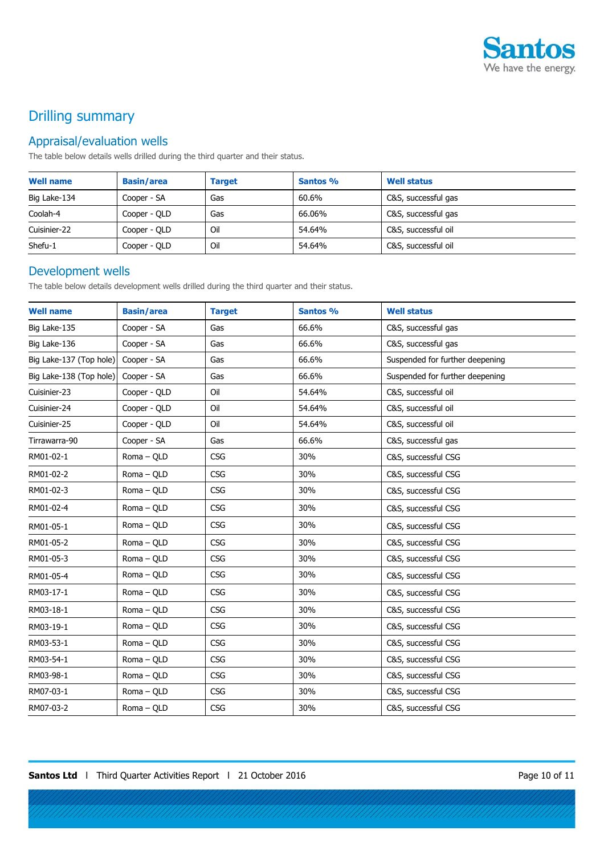

# Drilling summary

### Appraisal/evaluation wells

The table below details wells drilled during the third quarter and their status.

| <b>Well name</b> | <b>Basin/area</b> | <b>Target</b> | Santos % | <b>Well status</b>  |
|------------------|-------------------|---------------|----------|---------------------|
| Big Lake-134     | Cooper - SA       | Gas           | 60.6%    | C&S, successful gas |
| Coolah-4         | Cooper - QLD      | Gas           | 66.06%   | C&S, successful gas |
| Cuisinier-22     | Cooper - QLD      | Oil           | 54.64%   | C&S, successful oil |
| Shefu-1          | Cooper - QLD      | Oil           | 54.64%   | C&S, successful oil |

### Development wells

The table below details development wells drilled during the third quarter and their status.

| <b>Well name</b>        | <b>Basin/area</b> | <b>Target</b> | Santos % | <b>Well status</b>              |
|-------------------------|-------------------|---------------|----------|---------------------------------|
| Big Lake-135            | Cooper - SA       | Gas           | 66.6%    | C&S, successful gas             |
| Big Lake-136            | Cooper - SA       | Gas           | 66.6%    | C&S, successful gas             |
| Big Lake-137 (Top hole) | Cooper - SA       | Gas           | 66.6%    | Suspended for further deepening |
| Big Lake-138 (Top hole) | Cooper - SA       | Gas           | 66.6%    | Suspended for further deepening |
| Cuisinier-23            | Cooper - QLD      | Oil           | 54.64%   | C&S, successful oil             |
| Cuisinier-24            | Cooper - OLD      | Oil           | 54.64%   | C&S, successful oil             |
| Cuisinier-25            | Cooper - QLD      | Oil           | 54.64%   | C&S, successful oil             |
| Tirrawarra-90           | Cooper - SA       | Gas           | 66.6%    | C&S, successful gas             |
| RM01-02-1               | Roma - QLD        | <b>CSG</b>    | 30%      | C&S, successful CSG             |
| RM01-02-2               | $Roma - QLD$      | <b>CSG</b>    | 30%      | C&S, successful CSG             |
| RM01-02-3               | Roma - QLD        | <b>CSG</b>    | 30%      | C&S, successful CSG             |
| RM01-02-4               | Roma - QLD        | <b>CSG</b>    | 30%      | C&S, successful CSG             |
| RM01-05-1               | Roma - QLD        | <b>CSG</b>    | 30%      | C&S, successful CSG             |
| RM01-05-2               | Roma - QLD        | <b>CSG</b>    | 30%      | C&S, successful CSG             |
| RM01-05-3               | Roma - QLD        | <b>CSG</b>    | 30%      | C&S, successful CSG             |
| RM01-05-4               | Roma - QLD        | CSG           | 30%      | C&S, successful CSG             |
| RM03-17-1               | Roma - QLD        | <b>CSG</b>    | 30%      | C&S, successful CSG             |
| RM03-18-1               | Roma - QLD        | <b>CSG</b>    | 30%      | C&S, successful CSG             |
| RM03-19-1               | Roma - QLD        | <b>CSG</b>    | 30%      | C&S, successful CSG             |
| RM03-53-1               | Roma - QLD        | <b>CSG</b>    | 30%      | C&S, successful CSG             |
| RM03-54-1               | Roma - QLD        | <b>CSG</b>    | 30%      | C&S, successful CSG             |
| RM03-98-1               | Roma - QLD        | <b>CSG</b>    | 30%      | C&S, successful CSG             |
| RM07-03-1               | Roma - QLD        | CSG           | 30%      | C&S, successful CSG             |
| RM07-03-2               | Roma - QLD        | <b>CSG</b>    | 30%      | C&S, successful CSG             |